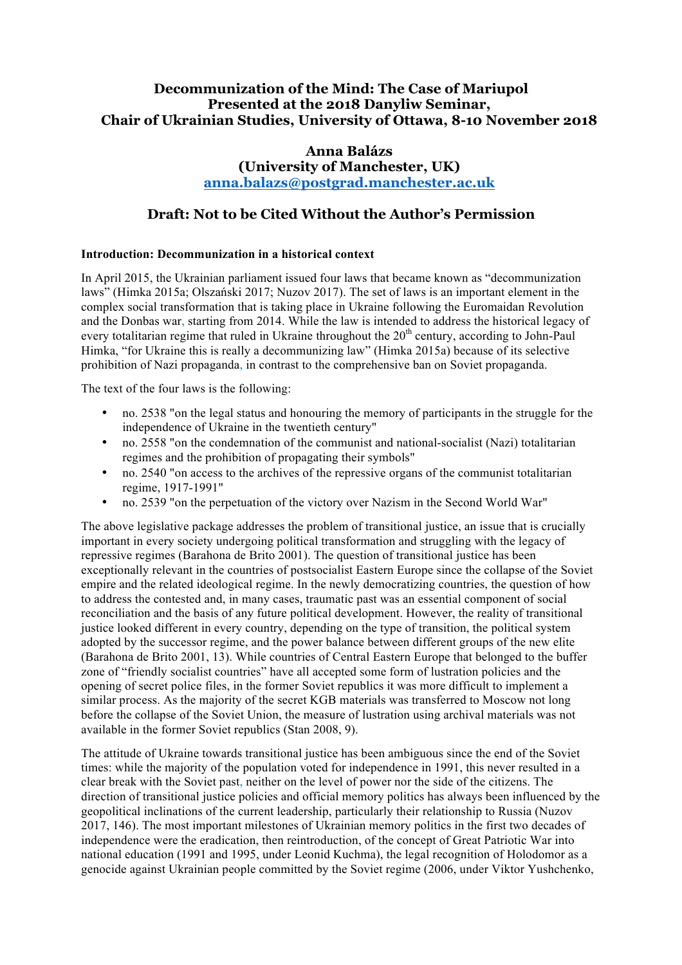# **Decommunization of the Mind: The Case of Mariupol Presented at the 2018 Danyliw Seminar, Chair of Ukrainian Studies, University of Ottawa, 8-10 November 2018**

## **Anna Balázs (University of Manchester, UK) anna.balazs@postgrad.manchester.ac.uk**

# **Draft: Not to be Cited Without the Author's Permission**

### **Introduction: Decommunization in a historical context**

In April 2015, the Ukrainian parliament issued four laws that became known as "decommunization laws" (Himka 2015a; Olszański 2017; Nuzov 2017). The set of laws is an important element in the complex social transformation that is taking place in Ukraine following the Euromaidan Revolution and the Donbas war, starting from 2014. While the law is intended to address the historical legacy of every totalitarian regime that ruled in Ukraine throughout the 20<sup>th</sup> century, according to John-Paul Himka, "for Ukraine this is really a decommunizing law" (Himka 2015a) because of its selective prohibition of Nazi propaganda, in contrast to the comprehensive ban on Soviet propaganda.

The text of the four laws is the following:

- no. 2538 "on the legal status and honouring the memory of participants in the struggle for the independence of Ukraine in the twentieth century"
- no. 2558 "on the condemnation of the communist and national-socialist (Nazi) totalitarian regimes and the prohibition of propagating their symbols"
- no. 2540 "on access to the archives of the repressive organs of the communist totalitarian regime, 1917-1991"
- no. 2539 "on the perpetuation of the victory over Nazism in the Second World War"

The above legislative package addresses the problem of transitional justice, an issue that is crucially important in every society undergoing political transformation and struggling with the legacy of repressive regimes (Barahona de Brito 2001). The question of transitional justice has been exceptionally relevant in the countries of postsocialist Eastern Europe since the collapse of the Soviet empire and the related ideological regime. In the newly democratizing countries, the question of how to address the contested and, in many cases, traumatic past was an essential component of social reconciliation and the basis of any future political development. However, the reality of transitional justice looked different in every country, depending on the type of transition, the political system adopted by the successor regime, and the power balance between different groups of the new elite (Barahona de Brito 2001, 13). While countries of Central Eastern Europe that belonged to the buffer zone of "friendly socialist countries" have all accepted some form of lustration policies and the opening of secret police files, in the former Soviet republics it was more difficult to implement a similar process. As the majority of the secret KGB materials was transferred to Moscow not long before the collapse of the Soviet Union, the measure of lustration using archival materials was not available in the former Soviet republics (Stan 2008, 9).

The attitude of Ukraine towards transitional justice has been ambiguous since the end of the Soviet times: while the majority of the population voted for independence in 1991, this never resulted in a clear break with the Soviet past, neither on the level of power nor the side of the citizens. The direction of transitional justice policies and official memory politics has always been influenced by the geopolitical inclinations of the current leadership, particularly their relationship to Russia (Nuzov 2017, 146). The most important milestones of Ukrainian memory politics in the first two decades of independence were the eradication, then reintroduction, of the concept of Great Patriotic War into national education (1991 and 1995, under Leonid Kuchma), the legal recognition of Holodomor as a genocide against Ukrainian people committed by the Soviet regime (2006, under Viktor Yushchenko,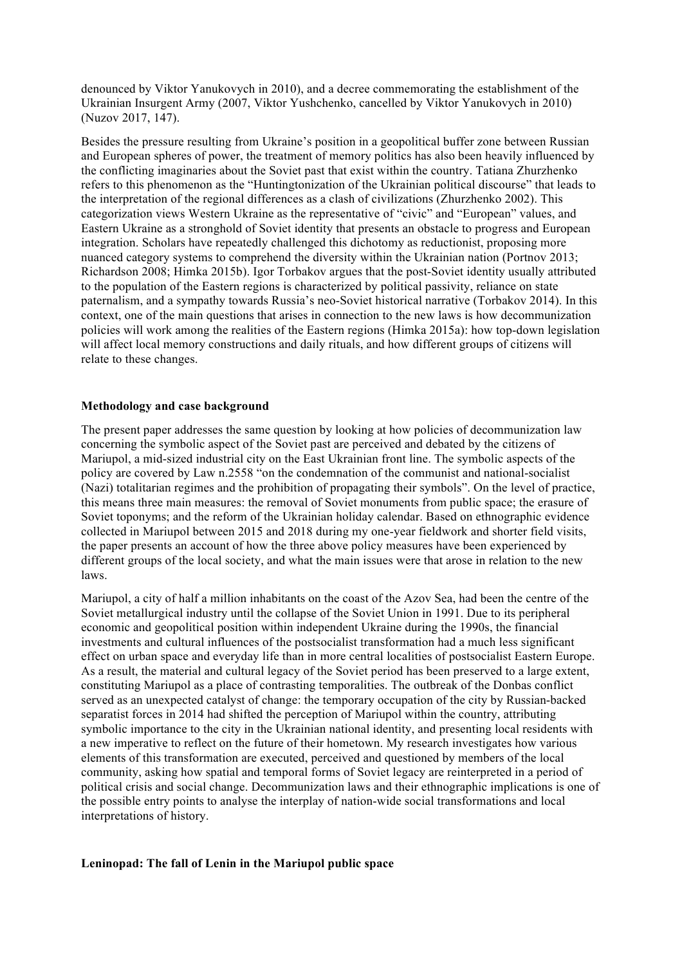denounced by Viktor Yanukovych in 2010), and a decree commemorating the establishment of the Ukrainian Insurgent Army (2007, Viktor Yushchenko, cancelled by Viktor Yanukovych in 2010) (Nuzov 2017, 147).

Besides the pressure resulting from Ukraine's position in a geopolitical buffer zone between Russian and European spheres of power, the treatment of memory politics has also been heavily influenced by the conflicting imaginaries about the Soviet past that exist within the country. Tatiana Zhurzhenko refers to this phenomenon as the "Huntingtonization of the Ukrainian political discourse" that leads to the interpretation of the regional differences as a clash of civilizations (Zhurzhenko 2002). This categorization views Western Ukraine as the representative of "civic" and "European" values, and Eastern Ukraine as a stronghold of Soviet identity that presents an obstacle to progress and European integration. Scholars have repeatedly challenged this dichotomy as reductionist, proposing more nuanced category systems to comprehend the diversity within the Ukrainian nation (Portnov 2013; Richardson 2008; Himka 2015b). Igor Torbakov argues that the post-Soviet identity usually attributed to the population of the Eastern regions is characterized by political passivity, reliance on state paternalism, and a sympathy towards Russia's neo-Soviet historical narrative (Torbakov 2014). In this context, one of the main questions that arises in connection to the new laws is how decommunization policies will work among the realities of the Eastern regions (Himka 2015a): how top-down legislation will affect local memory constructions and daily rituals, and how different groups of citizens will relate to these changes.

### **Methodology and case background**

The present paper addresses the same question by looking at how policies of decommunization law concerning the symbolic aspect of the Soviet past are perceived and debated by the citizens of Mariupol, a mid-sized industrial city on the East Ukrainian front line. The symbolic aspects of the policy are covered by Law n.2558 "on the condemnation of the communist and national-socialist (Nazi) totalitarian regimes and the prohibition of propagating their symbols". On the level of practice, this means three main measures: the removal of Soviet monuments from public space; the erasure of Soviet toponyms; and the reform of the Ukrainian holiday calendar. Based on ethnographic evidence collected in Mariupol between 2015 and 2018 during my one-year fieldwork and shorter field visits, the paper presents an account of how the three above policy measures have been experienced by different groups of the local society, and what the main issues were that arose in relation to the new laws.

Mariupol, a city of half a million inhabitants on the coast of the Azov Sea, had been the centre of the Soviet metallurgical industry until the collapse of the Soviet Union in 1991. Due to its peripheral economic and geopolitical position within independent Ukraine during the 1990s, the financial investments and cultural influences of the postsocialist transformation had a much less significant effect on urban space and everyday life than in more central localities of postsocialist Eastern Europe. As a result, the material and cultural legacy of the Soviet period has been preserved to a large extent, constituting Mariupol as a place of contrasting temporalities. The outbreak of the Donbas conflict served as an unexpected catalyst of change: the temporary occupation of the city by Russian-backed separatist forces in 2014 had shifted the perception of Mariupol within the country, attributing symbolic importance to the city in the Ukrainian national identity, and presenting local residents with a new imperative to reflect on the future of their hometown. My research investigates how various elements of this transformation are executed, perceived and questioned by members of the local community, asking how spatial and temporal forms of Soviet legacy are reinterpreted in a period of political crisis and social change. Decommunization laws and their ethnographic implications is one of the possible entry points to analyse the interplay of nation-wide social transformations and local interpretations of history.

### **Leninopad: The fall of Lenin in the Mariupol public space**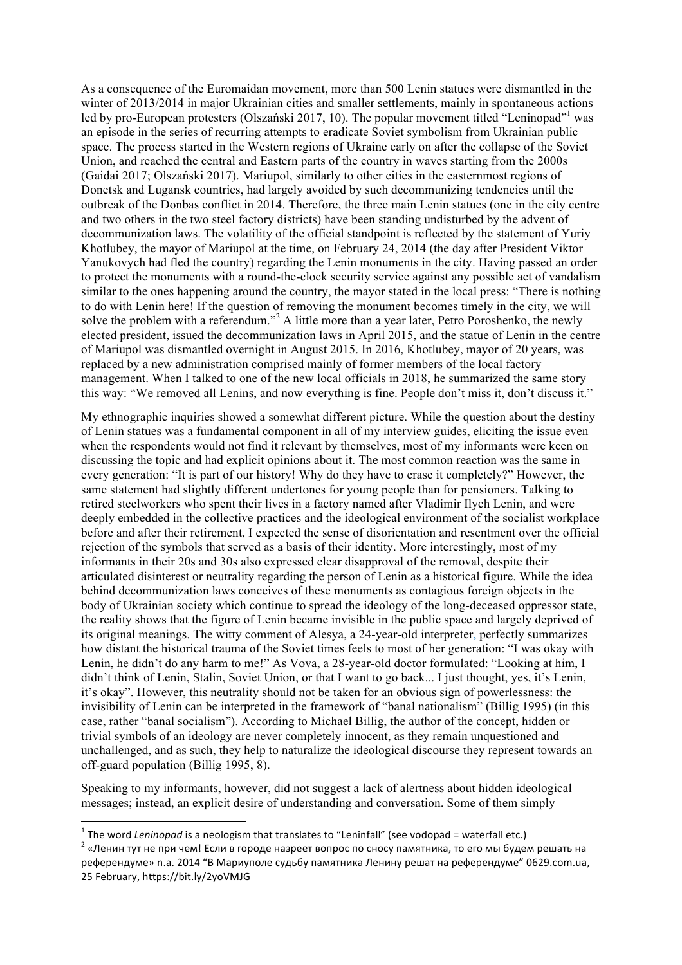As a consequence of the Euromaidan movement, more than 500 Lenin statues were dismantled in the winter of 2013/2014 in major Ukrainian cities and smaller settlements, mainly in spontaneous actions led by pro-European protesters (Olszański 2017, 10). The popular movement titled "Leninopad" was an episode in the series of recurring attempts to eradicate Soviet symbolism from Ukrainian public space. The process started in the Western regions of Ukraine early on after the collapse of the Soviet Union, and reached the central and Eastern parts of the country in waves starting from the 2000s (Gaidai 2017; Olszański 2017). Mariupol, similarly to other cities in the easternmost regions of Donetsk and Lugansk countries, had largely avoided by such decommunizing tendencies until the outbreak of the Donbas conflict in 2014. Therefore, the three main Lenin statues (one in the city centre and two others in the two steel factory districts) have been standing undisturbed by the advent of decommunization laws. The volatility of the official standpoint is reflected by the statement of Yuriy Khotlubey, the mayor of Mariupol at the time, on February 24, 2014 (the day after President Viktor Yanukovych had fled the country) regarding the Lenin monuments in the city. Having passed an order to protect the monuments with a round-the-clock security service against any possible act of vandalism similar to the ones happening around the country, the mayor stated in the local press: "There is nothing to do with Lenin here! If the question of removing the monument becomes timely in the city, we will solve the problem with a referendum."<sup>2</sup> A little more than a year later, Petro Poroshenko, the newly elected president, issued the decommunization laws in April 2015, and the statue of Lenin in the centre of Mariupol was dismantled overnight in August 2015. In 2016, Khotlubey, mayor of 20 years, was replaced by a new administration comprised mainly of former members of the local factory management. When I talked to one of the new local officials in 2018, he summarized the same story this way: "We removed all Lenins, and now everything is fine. People don't miss it, don't discuss it."

My ethnographic inquiries showed a somewhat different picture. While the question about the destiny of Lenin statues was a fundamental component in all of my interview guides, eliciting the issue even when the respondents would not find it relevant by themselves, most of my informants were keen on discussing the topic and had explicit opinions about it. The most common reaction was the same in every generation: "It is part of our history! Why do they have to erase it completely?" However, the same statement had slightly different undertones for young people than for pensioners. Talking to retired steelworkers who spent their lives in a factory named after Vladimir Ilych Lenin, and were deeply embedded in the collective practices and the ideological environment of the socialist workplace before and after their retirement, I expected the sense of disorientation and resentment over the official rejection of the symbols that served as a basis of their identity. More interestingly, most of my informants in their 20s and 30s also expressed clear disapproval of the removal, despite their articulated disinterest or neutrality regarding the person of Lenin as a historical figure. While the idea behind decommunization laws conceives of these monuments as contagious foreign objects in the body of Ukrainian society which continue to spread the ideology of the long-deceased oppressor state, the reality shows that the figure of Lenin became invisible in the public space and largely deprived of its original meanings. The witty comment of Alesya, a 24-year-old interpreter, perfectly summarizes how distant the historical trauma of the Soviet times feels to most of her generation: "I was okay with Lenin, he didn't do any harm to me!" As Vova, a 28-year-old doctor formulated: "Looking at him, I didn't think of Lenin, Stalin, Soviet Union, or that I want to go back... I just thought, yes, it's Lenin, it's okay". However, this neutrality should not be taken for an obvious sign of powerlessness: the invisibility of Lenin can be interpreted in the framework of "banal nationalism" (Billig 1995) (in this case, rather "banal socialism"). According to Michael Billig, the author of the concept, hidden or trivial symbols of an ideology are never completely innocent, as they remain unquestioned and unchallenged, and as such, they help to naturalize the ideological discourse they represent towards an off-guard population (Billig 1995, 8).

Speaking to my informants, however, did not suggest a lack of alertness about hidden ideological messages; instead, an explicit desire of understanding and conversation. Some of them simply

<u> 1989 - Johann Stein, fransk politik (d. 1989)</u>

<sup>&</sup>lt;sup>1</sup> The word *Leninopad* is a neologism that translates to "Leninfall" (see vodopad = waterfall etc.)<br><sup>2</sup> «Ленин тут не при чем! Если в городе назреет вопрос по сносу памятника, то его мы будем решать на референдуме» n.a. 2014 "В Мариуполе судьбу памятника Ленину решат на референдуме" 0629.com.ua. 25 February, https://bit.ly/2yoVMJG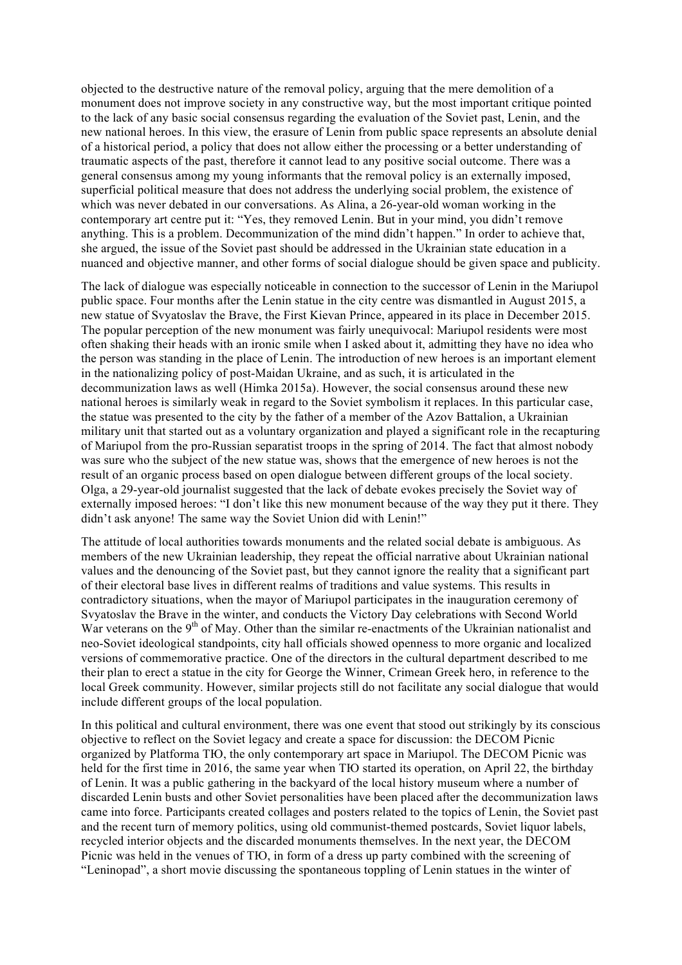objected to the destructive nature of the removal policy, arguing that the mere demolition of a monument does not improve society in any constructive way, but the most important critique pointed to the lack of any basic social consensus regarding the evaluation of the Soviet past, Lenin, and the new national heroes. In this view, the erasure of Lenin from public space represents an absolute denial of a historical period, a policy that does not allow either the processing or a better understanding of traumatic aspects of the past, therefore it cannot lead to any positive social outcome. There was a general consensus among my young informants that the removal policy is an externally imposed, superficial political measure that does not address the underlying social problem, the existence of which was never debated in our conversations. As Alina, a 26-year-old woman working in the contemporary art centre put it: "Yes, they removed Lenin. But in your mind, you didn't remove anything. This is a problem. Decommunization of the mind didn't happen." In order to achieve that, she argued, the issue of the Soviet past should be addressed in the Ukrainian state education in a nuanced and objective manner, and other forms of social dialogue should be given space and publicity.

The lack of dialogue was especially noticeable in connection to the successor of Lenin in the Mariupol public space. Four months after the Lenin statue in the city centre was dismantled in August 2015, a new statue of Svyatoslav the Brave, the First Kievan Prince, appeared in its place in December 2015. The popular perception of the new monument was fairly unequivocal: Mariupol residents were most often shaking their heads with an ironic smile when I asked about it, admitting they have no idea who the person was standing in the place of Lenin. The introduction of new heroes is an important element in the nationalizing policy of post-Maidan Ukraine, and as such, it is articulated in the decommunization laws as well (Himka 2015a). However, the social consensus around these new national heroes is similarly weak in regard to the Soviet symbolism it replaces. In this particular case, the statue was presented to the city by the father of a member of the Azov Battalion, a Ukrainian military unit that started out as a voluntary organization and played a significant role in the recapturing of Mariupol from the pro-Russian separatist troops in the spring of 2014. The fact that almost nobody was sure who the subject of the new statue was, shows that the emergence of new heroes is not the result of an organic process based on open dialogue between different groups of the local society. Olga, a 29-year-old journalist suggested that the lack of debate evokes precisely the Soviet way of externally imposed heroes: "I don't like this new monument because of the way they put it there. They didn't ask anyone! The same way the Soviet Union did with Lenin!"

The attitude of local authorities towards monuments and the related social debate is ambiguous. As members of the new Ukrainian leadership, they repeat the official narrative about Ukrainian national values and the denouncing of the Soviet past, but they cannot ignore the reality that a significant part of their electoral base lives in different realms of traditions and value systems. This results in contradictory situations, when the mayor of Mariupol participates in the inauguration ceremony of Svyatoslav the Brave in the winter, and conducts the Victory Day celebrations with Second World War veterans on the 9<sup>th</sup> of May. Other than the similar re-enactments of the Ukrainian nationalist and neo-Soviet ideological standpoints, city hall officials showed openness to more organic and localized versions of commemorative practice. One of the directors in the cultural department described to me their plan to erect a statue in the city for George the Winner, Crimean Greek hero, in reference to the local Greek community. However, similar projects still do not facilitate any social dialogue that would include different groups of the local population.

In this political and cultural environment, there was one event that stood out strikingly by its conscious objective to reflect on the Soviet legacy and create a space for discussion: the DECOM Picnic organized by Platforma ТЮ, the only contemporary art space in Mariupol. The DECOM Picnic was held for the first time in 2016, the same year when TIO started its operation, on April 22, the birthday of Lenin. It was a public gathering in the backyard of the local history museum where a number of discarded Lenin busts and other Soviet personalities have been placed after the decommunization laws came into force. Participants created collages and posters related to the topics of Lenin, the Soviet past and the recent turn of memory politics, using old communist-themed postcards, Soviet liquor labels, recycled interior objects and the discarded monuments themselves. In the next year, the DECOM Picnic was held in the venues of ТЮ, in form of a dress up party combined with the screening of "Leninopad", a short movie discussing the spontaneous toppling of Lenin statues in the winter of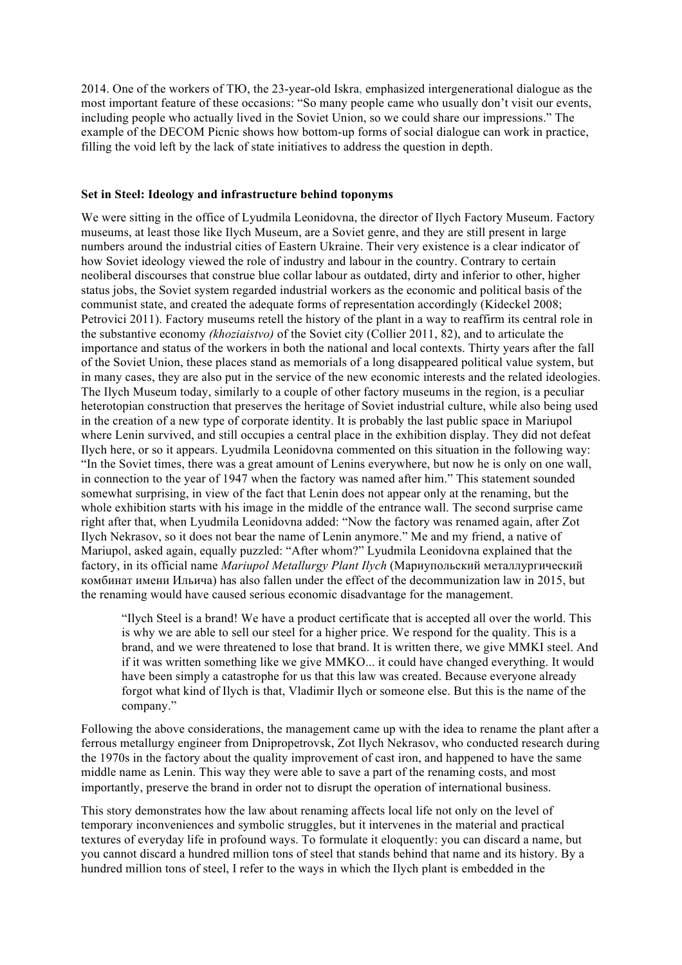2014. One of the workers of ТЮ, the 23-year-old Iskra, emphasized intergenerational dialogue as the most important feature of these occasions: "So many people came who usually don't visit our events, including people who actually lived in the Soviet Union, so we could share our impressions." The example of the DECOM Picnic shows how bottom-up forms of social dialogue can work in practice, filling the void left by the lack of state initiatives to address the question in depth.

#### **Set in Steel: Ideology and infrastructure behind toponyms**

We were sitting in the office of Lyudmila Leonidovna, the director of Ilych Factory Museum. Factory museums, at least those like Ilych Museum, are a Soviet genre, and they are still present in large numbers around the industrial cities of Eastern Ukraine. Their very existence is a clear indicator of how Soviet ideology viewed the role of industry and labour in the country. Contrary to certain neoliberal discourses that construe blue collar labour as outdated, dirty and inferior to other, higher status jobs, the Soviet system regarded industrial workers as the economic and political basis of the communist state, and created the adequate forms of representation accordingly (Kideckel 2008; Petrovici 2011). Factory museums retell the history of the plant in a way to reaffirm its central role in the substantive economy *(khoziaistvo)* of the Soviet city (Collier 2011, 82), and to articulate the importance and status of the workers in both the national and local contexts. Thirty years after the fall of the Soviet Union, these places stand as memorials of a long disappeared political value system, but in many cases, they are also put in the service of the new economic interests and the related ideologies. The Ilych Museum today, similarly to a couple of other factory museums in the region, is a peculiar heterotopian construction that preserves the heritage of Soviet industrial culture, while also being used in the creation of a new type of corporate identity. It is probably the last public space in Mariupol where Lenin survived, and still occupies a central place in the exhibition display. They did not defeat Ilych here, or so it appears. Lyudmila Leonidovna commented on this situation in the following way: "In the Soviet times, there was a great amount of Lenins everywhere, but now he is only on one wall, in connection to the year of 1947 when the factory was named after him." This statement sounded somewhat surprising, in view of the fact that Lenin does not appear only at the renaming, but the whole exhibition starts with his image in the middle of the entrance wall. The second surprise came right after that, when Lyudmila Leonidovna added: "Now the factory was renamed again, after Zot Ilych Nekrasov, so it does not bear the name of Lenin anymore." Me and my friend, a native of Mariupol, asked again, equally puzzled: "After whom?" Lyudmila Leonidovna explained that the factory, in its official name *Mariupol Metallurgy Plant Ilych* (Мариупольский металлургический комбинат имени Ильича) has also fallen under the effect of the decommunization law in 2015, but the renaming would have caused serious economic disadvantage for the management.

"Ilych Steel is a brand! We have a product certificate that is accepted all over the world. This is why we are able to sell our steel for a higher price. We respond for the quality. This is a brand, and we were threatened to lose that brand. It is written there, we give MMKI steel. And if it was written something like we give MMKO... it could have changed everything. It would have been simply a catastrophe for us that this law was created. Because everyone already forgot what kind of Ilych is that, Vladimir Ilych or someone else. But this is the name of the company."

Following the above considerations, the management came up with the idea to rename the plant after a ferrous metallurgy engineer from Dnipropetrovsk, Zot Ilych Nekrasov, who conducted research during the 1970s in the factory about the quality improvement of cast iron, and happened to have the same middle name as Lenin. This way they were able to save a part of the renaming costs, and most importantly, preserve the brand in order not to disrupt the operation of international business.

This story demonstrates how the law about renaming affects local life not only on the level of temporary inconveniences and symbolic struggles, but it intervenes in the material and practical textures of everyday life in profound ways. To formulate it eloquently: you can discard a name, but you cannot discard a hundred million tons of steel that stands behind that name and its history. By a hundred million tons of steel, I refer to the ways in which the Ilych plant is embedded in the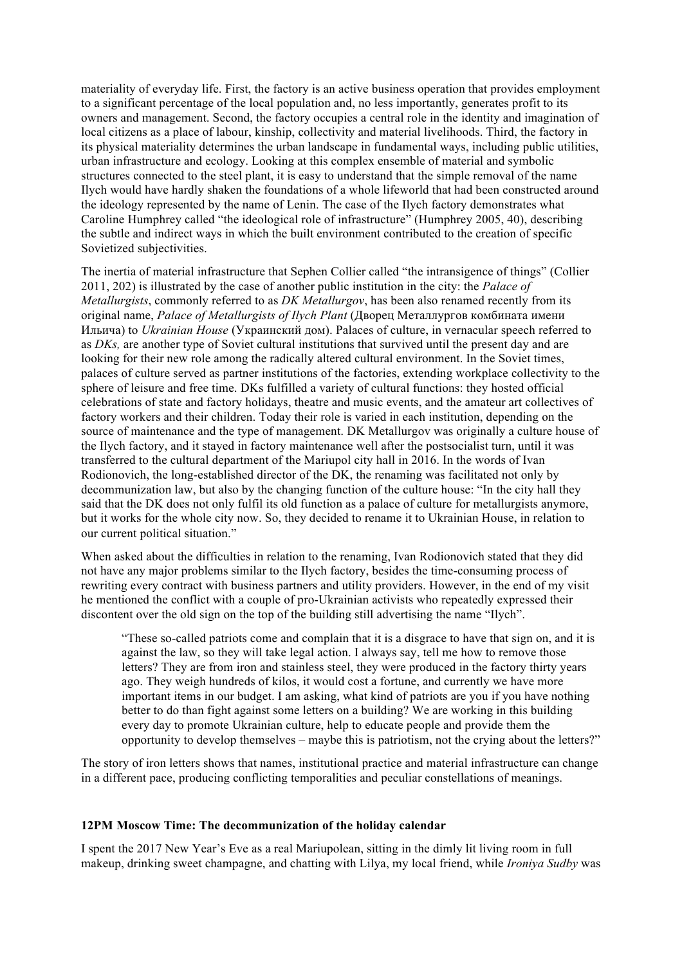materiality of everyday life. First, the factory is an active business operation that provides employment to a significant percentage of the local population and, no less importantly, generates profit to its owners and management. Second, the factory occupies a central role in the identity and imagination of local citizens as a place of labour, kinship, collectivity and material livelihoods. Third, the factory in its physical materiality determines the urban landscape in fundamental ways, including public utilities, urban infrastructure and ecology. Looking at this complex ensemble of material and symbolic structures connected to the steel plant, it is easy to understand that the simple removal of the name Ilych would have hardly shaken the foundations of a whole lifeworld that had been constructed around the ideology represented by the name of Lenin. The case of the Ilych factory demonstrates what Caroline Humphrey called "the ideological role of infrastructure" (Humphrey 2005, 40), describing the subtle and indirect ways in which the built environment contributed to the creation of specific Sovietized subjectivities.

The inertia of material infrastructure that Sephen Collier called "the intransigence of things" (Collier 2011, 202) is illustrated by the case of another public institution in the city: the *Palace of Metallurgists*, commonly referred to as *DK Metallurgov*, has been also renamed recently from its original name, *Palace of Metallurgists of Ilych Plant* (Дворец Металлургов комбината имени Ильича) to *Ukrainian House* (Украинский дом). Palaces of culture, in vernacular speech referred to as *DKs,* are another type of Soviet cultural institutions that survived until the present day and are looking for their new role among the radically altered cultural environment. In the Soviet times, palaces of culture served as partner institutions of the factories, extending workplace collectivity to the sphere of leisure and free time. DKs fulfilled a variety of cultural functions: they hosted official celebrations of state and factory holidays, theatre and music events, and the amateur art collectives of factory workers and their children. Today their role is varied in each institution, depending on the source of maintenance and the type of management. DK Metallurgov was originally a culture house of the Ilych factory, and it stayed in factory maintenance well after the postsocialist turn, until it was transferred to the cultural department of the Mariupol city hall in 2016. In the words of Ivan Rodionovich, the long-established director of the DK, the renaming was facilitated not only by decommunization law, but also by the changing function of the culture house: "In the city hall they said that the DK does not only fulfil its old function as a palace of culture for metallurgists anymore, but it works for the whole city now. So, they decided to rename it to Ukrainian House, in relation to our current political situation."

When asked about the difficulties in relation to the renaming, Ivan Rodionovich stated that they did not have any major problems similar to the Ilych factory, besides the time-consuming process of rewriting every contract with business partners and utility providers. However, in the end of my visit he mentioned the conflict with a couple of pro-Ukrainian activists who repeatedly expressed their discontent over the old sign on the top of the building still advertising the name "Ilych".

"These so-called patriots come and complain that it is a disgrace to have that sign on, and it is against the law, so they will take legal action. I always say, tell me how to remove those letters? They are from iron and stainless steel, they were produced in the factory thirty years ago. They weigh hundreds of kilos, it would cost a fortune, and currently we have more important items in our budget. I am asking, what kind of patriots are you if you have nothing better to do than fight against some letters on a building? We are working in this building every day to promote Ukrainian culture, help to educate people and provide them the opportunity to develop themselves – maybe this is patriotism, not the crying about the letters?"

The story of iron letters shows that names, institutional practice and material infrastructure can change in a different pace, producing conflicting temporalities and peculiar constellations of meanings.

#### **12PM Moscow Time: The decommunization of the holiday calendar**

I spent the 2017 New Year's Eve as a real Mariupolean, sitting in the dimly lit living room in full makeup, drinking sweet champagne, and chatting with Lilya, my local friend, while *Ironiya Sudby* was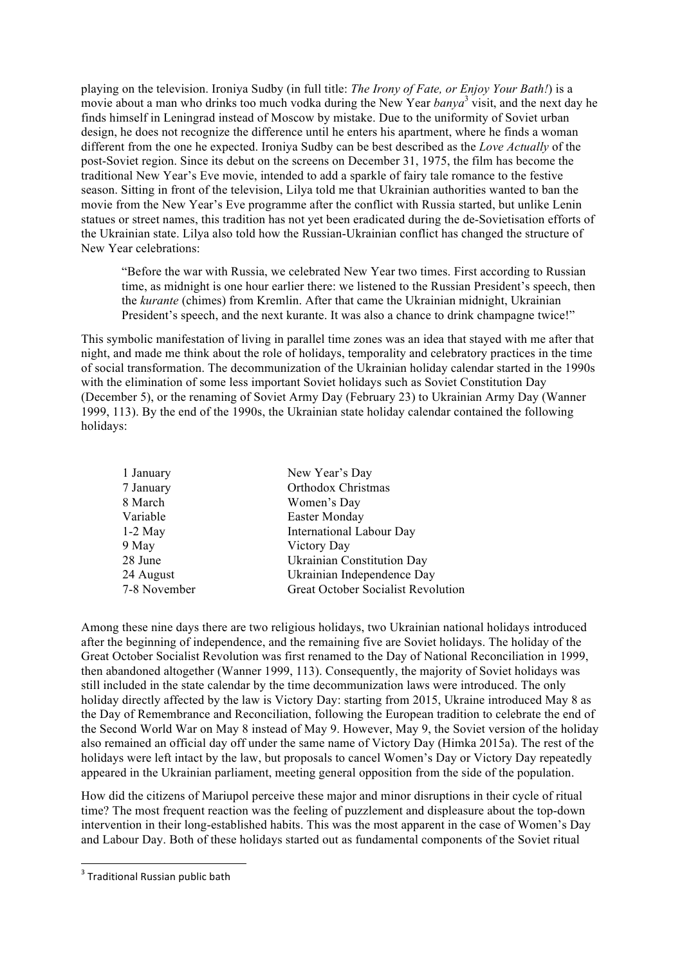playing on the television. Ironiya Sudby (in full title: *The Irony of Fate, or Enjoy Your Bath!*) is a movie about a man who drinks too much vodka during the New Year *banya*<sup>3</sup> visit, and the next day he finds himself in Leningrad instead of Moscow by mistake. Due to the uniformity of Soviet urban design, he does not recognize the difference until he enters his apartment, where he finds a woman different from the one he expected. Ironiya Sudby can be best described as the *Love Actually* of the post-Soviet region. Since its debut on the screens on December 31, 1975, the film has become the traditional New Year's Eve movie, intended to add a sparkle of fairy tale romance to the festive season. Sitting in front of the television, Lilya told me that Ukrainian authorities wanted to ban the movie from the New Year's Eve programme after the conflict with Russia started, but unlike Lenin statues or street names, this tradition has not yet been eradicated during the de-Sovietisation efforts of the Ukrainian state. Lilya also told how the Russian-Ukrainian conflict has changed the structure of New Year celebrations:

"Before the war with Russia, we celebrated New Year two times. First according to Russian time, as midnight is one hour earlier there: we listened to the Russian President's speech, then the *kurante* (chimes) from Kremlin. After that came the Ukrainian midnight, Ukrainian President's speech, and the next kurante. It was also a chance to drink champagne twice!"

This symbolic manifestation of living in parallel time zones was an idea that stayed with me after that night, and made me think about the role of holidays, temporality and celebratory practices in the time of social transformation. The decommunization of the Ukrainian holiday calendar started in the 1990s with the elimination of some less important Soviet holidays such as Soviet Constitution Day (December 5), or the renaming of Soviet Army Day (February 23) to Ukrainian Army Day (Wanner 1999, 113). By the end of the 1990s, the Ukrainian state holiday calendar contained the following holidays:

| 1 January    | New Year's Day                            |
|--------------|-------------------------------------------|
| 7 January    | Orthodox Christmas                        |
| 8 March      | Women's Day                               |
| Variable     | Easter Monday                             |
| $1-2$ May    | <b>International Labour Day</b>           |
| 9 May        | Victory Day                               |
| 28 June      | <b>Ukrainian Constitution Day</b>         |
| 24 August    | Ukrainian Independence Day                |
| 7-8 November | <b>Great October Socialist Revolution</b> |

Among these nine days there are two religious holidays, two Ukrainian national holidays introduced after the beginning of independence, and the remaining five are Soviet holidays. The holiday of the Great October Socialist Revolution was first renamed to the Day of National Reconciliation in 1999, then abandoned altogether (Wanner 1999, 113). Consequently, the majority of Soviet holidays was still included in the state calendar by the time decommunization laws were introduced. The only holiday directly affected by the law is Victory Day: starting from 2015, Ukraine introduced May 8 as the Day of Remembrance and Reconciliation, following the European tradition to celebrate the end of the Second World War on May 8 instead of May 9. However, May 9, the Soviet version of the holiday also remained an official day off under the same name of Victory Day (Himka 2015a). The rest of the holidays were left intact by the law, but proposals to cancel Women's Day or Victory Day repeatedly appeared in the Ukrainian parliament, meeting general opposition from the side of the population.

How did the citizens of Mariupol perceive these major and minor disruptions in their cycle of ritual time? The most frequent reaction was the feeling of puzzlement and displeasure about the top-down intervention in their long-established habits. This was the most apparent in the case of Women's Day and Labour Day. Both of these holidays started out as fundamental components of the Soviet ritual

<u> 1989 - Johann Stein, fransk politik (d. 1989)</u>

 $3$  Traditional Russian public bath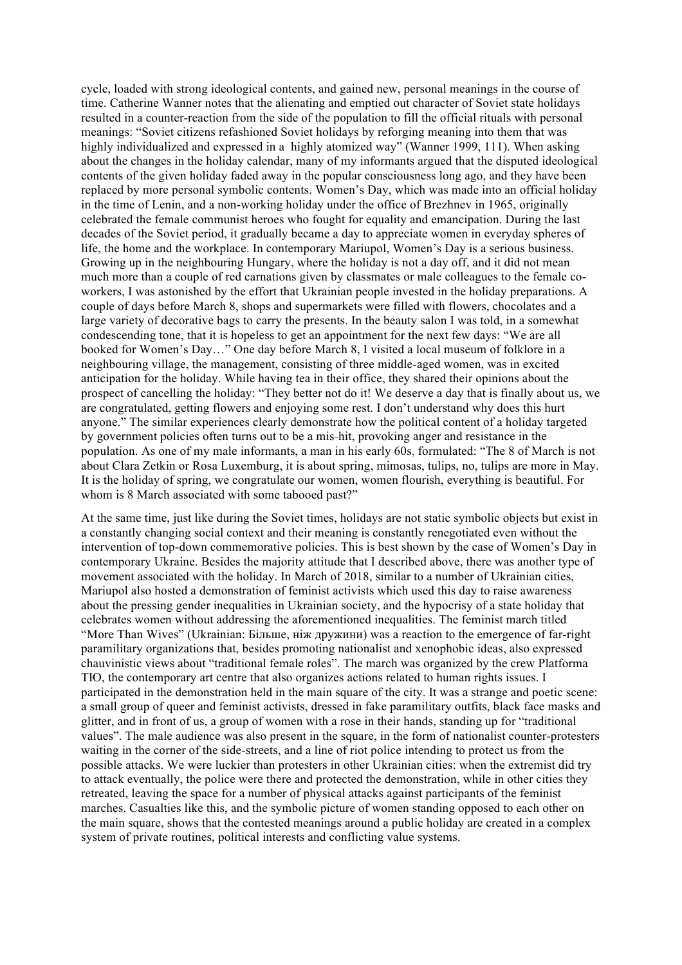cycle, loaded with strong ideological contents, and gained new, personal meanings in the course of time. Catherine Wanner notes that the alienating and emptied out character of Soviet state holidays resulted in a counter-reaction from the side of the population to fill the official rituals with personal meanings: "Soviet citizens refashioned Soviet holidays by reforging meaning into them that was highly individualized and expressed in a highly atomized way" (Wanner 1999, 111). When asking about the changes in the holiday calendar, many of my informants argued that the disputed ideological contents of the given holiday faded away in the popular consciousness long ago, and they have been replaced by more personal symbolic contents. Women's Day, which was made into an official holiday in the time of Lenin, and a non-working holiday under the office of Brezhnev in 1965, originally celebrated the female communist heroes who fought for equality and emancipation. During the last decades of the Soviet period, it gradually became a day to appreciate women in everyday spheres of life, the home and the workplace. In contemporary Mariupol, Women's Day is a serious business. Growing up in the neighbouring Hungary, where the holiday is not a day off, and it did not mean much more than a couple of red carnations given by classmates or male colleagues to the female coworkers, I was astonished by the effort that Ukrainian people invested in the holiday preparations. A couple of days before March 8, shops and supermarkets were filled with flowers, chocolates and a large variety of decorative bags to carry the presents. In the beauty salon I was told, in a somewhat condescending tone, that it is hopeless to get an appointment for the next few days: "We are all booked for Women's Day…" One day before March 8, I visited a local museum of folklore in a neighbouring village, the management, consisting of three middle-aged women, was in excited anticipation for the holiday. While having tea in their office, they shared their opinions about the prospect of cancelling the holiday: "They better not do it! We deserve a day that is finally about us, we are congratulated, getting flowers and enjoying some rest. I don't understand why does this hurt anyone." The similar experiences clearly demonstrate how the political content of a holiday targeted by government policies often turns out to be a mis-hit, provoking anger and resistance in the population. As one of my male informants, a man in his early 60s, formulated: "The 8 of March is not about Clara Zetkin or Rosa Luxemburg, it is about spring, mimosas, tulips, no, tulips are more in May. It is the holiday of spring, we congratulate our women, women flourish, everything is beautiful. For whom is 8 March associated with some tabooed past?"

At the same time, just like during the Soviet times, holidays are not static symbolic objects but exist in a constantly changing social context and their meaning is constantly renegotiated even without the intervention of top-down commemorative policies. This is best shown by the case of Women's Day in contemporary Ukraine. Besides the majority attitude that I described above, there was another type of movement associated with the holiday. In March of 2018, similar to a number of Ukrainian cities, Mariupol also hosted a demonstration of feminist activists which used this day to raise awareness about the pressing gender inequalities in Ukrainian society, and the hypocrisy of a state holiday that celebrates women without addressing the aforementioned inequalities. The feminist march titled "More Than Wives" (Ukrainian: Більше, ніж дружини) was a reaction to the emergence of far-right paramilitary organizations that, besides promoting nationalist and xenophobic ideas, also expressed chauvinistic views about "traditional female roles". The march was organized by the crew Platforma ТЮ, the contemporary art centre that also organizes actions related to human rights issues. I participated in the demonstration held in the main square of the city. It was a strange and poetic scene: a small group of queer and feminist activists, dressed in fake paramilitary outfits, black face masks and glitter, and in front of us, a group of women with a rose in their hands, standing up for "traditional values". The male audience was also present in the square, in the form of nationalist counter-protesters waiting in the corner of the side-streets, and a line of riot police intending to protect us from the possible attacks. We were luckier than protesters in other Ukrainian cities: when the extremist did try to attack eventually, the police were there and protected the demonstration, while in other cities they retreated, leaving the space for a number of physical attacks against participants of the feminist marches. Casualties like this, and the symbolic picture of women standing opposed to each other on the main square, shows that the contested meanings around a public holiday are created in a complex system of private routines, political interests and conflicting value systems.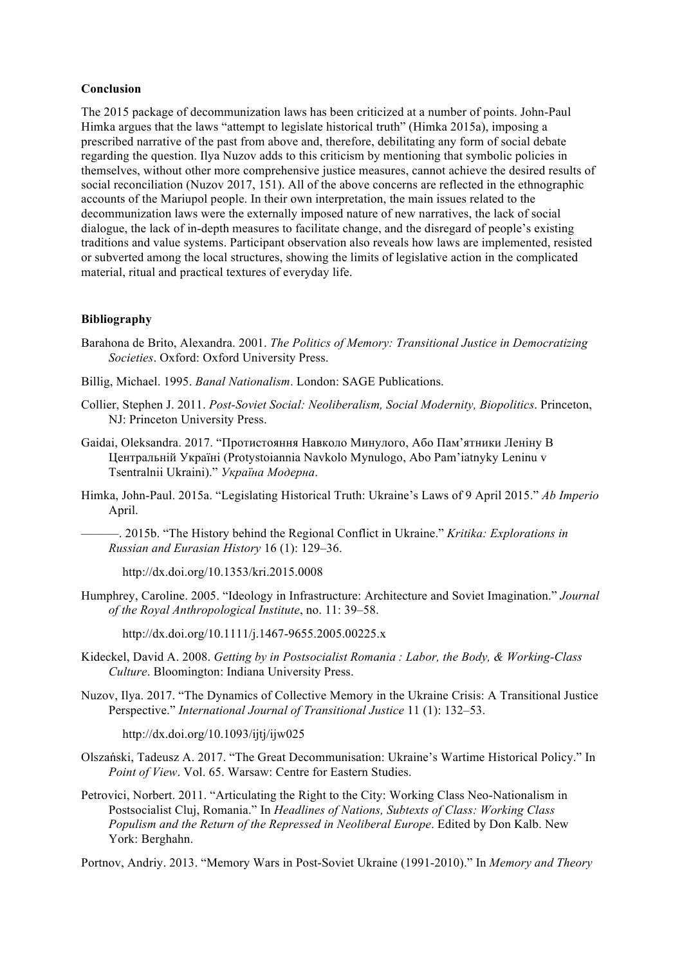#### **Conclusion**

The 2015 package of decommunization laws has been criticized at a number of points. John-Paul Himka argues that the laws "attempt to legislate historical truth" (Himka 2015a), imposing a prescribed narrative of the past from above and, therefore, debilitating any form of social debate regarding the question. Ilya Nuzov adds to this criticism by mentioning that symbolic policies in themselves, without other more comprehensive justice measures, cannot achieve the desired results of social reconciliation (Nuzov 2017, 151). All of the above concerns are reflected in the ethnographic accounts of the Mariupol people. In their own interpretation, the main issues related to the decommunization laws were the externally imposed nature of new narratives, the lack of social dialogue, the lack of in-depth measures to facilitate change, and the disregard of people's existing traditions and value systems. Participant observation also reveals how laws are implemented, resisted or subverted among the local structures, showing the limits of legislative action in the complicated material, ritual and practical textures of everyday life.

#### **Bibliography**

- Barahona de Brito, Alexandra. 2001. *The Politics of Memory: Transitional Justice in Democratizing Societies*. Oxford: Oxford University Press.
- Billig, Michael. 1995. *Banal Nationalism*. London: SAGE Publications.
- Collier, Stephen J. 2011. *Post-Soviet Social: Neoliberalism, Social Modernity, Biopolitics*. Princeton, NJ: Princeton University Press.
- Gaidai, Oleksandra. 2017. "Протистояння Навколо Минулого, Або Пам'ятники Леніну В Центральній Україні (Protystoiannia Navkolo Mynulogo, Abo Pam'iatnyky Leninu v Tsentralnii Ukraini)." *Україна Модерна*.
- Himka, John-Paul. 2015a. "Legislating Historical Truth: Ukraine's Laws of 9 April 2015." *Ab Imperio* April.

———. 2015b. "The History behind the Regional Conflict in Ukraine." *Kritika: Explorations in Russian and Eurasian History* 16 (1): 129–36.

http://dx.doi.org/10.1353/kri.2015.0008

Humphrey, Caroline. 2005. "Ideology in Infrastructure: Architecture and Soviet Imagination." *Journal of the Royal Anthropological Institute*, no. 11: 39–58.

http://dx.doi.org/10.1111/j.1467-9655.2005.00225.x

- Kideckel, David A. 2008. *Getting by in Postsocialist Romania : Labor, the Body, & Working-Class Culture*. Bloomington: Indiana University Press.
- Nuzov, Ilya. 2017. "The Dynamics of Collective Memory in the Ukraine Crisis: A Transitional Justice Perspective." *International Journal of Transitional Justice* 11 (1): 132–53.

http://dx.doi.org/10.1093/ijtj/ijw025

- Olszański, Tadeusz A. 2017. "The Great Decommunisation: Ukraine's Wartime Historical Policy." In *Point of View*. Vol. 65. Warsaw: Centre for Eastern Studies.
- Petrovici, Norbert. 2011. "Articulating the Right to the City: Working Class Neo-Nationalism in Postsocialist Cluj, Romania." In *Headlines of Nations, Subtexts of Class: Working Class Populism and the Return of the Repressed in Neoliberal Europe*. Edited by Don Kalb. New York: Berghahn.

Portnov, Andriy. 2013. "Memory Wars in Post-Soviet Ukraine (1991-2010)." In *Memory and Theory*